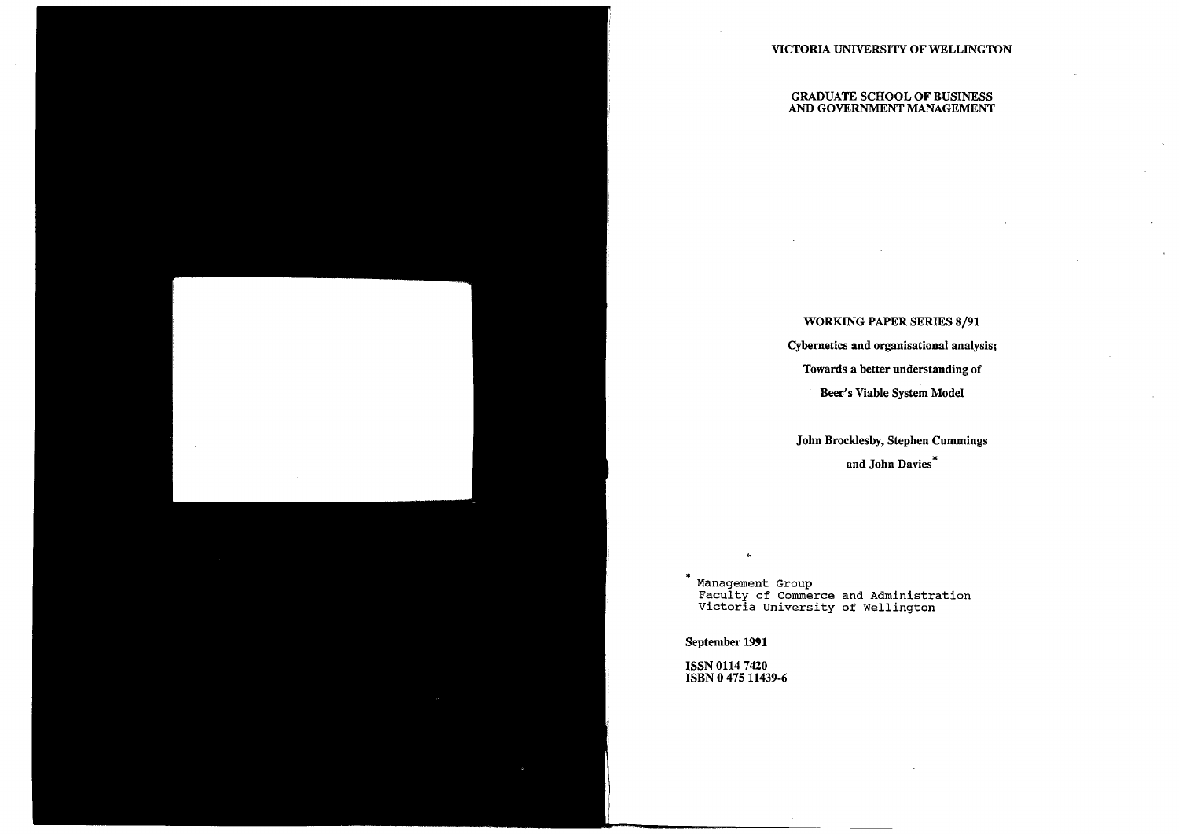# VICTORIA UNIVERSITY OF WELLINGTON

#### GRADUATE SCHOOL OF BUSINESS AND GOVERNMENT MANAGEMENT

### WORKING PAPER SERIES 8/91

# Cybernetics and organisational analysis;

### Towards a better understanding of

# Beer's Viable System Model

\* Management Group Faculty of Commerce and Administration Victoria University of Wellington

# John Brocklesby, Stephen Cummings

and John Davies\*

September 1991

ISSN 0114 7420 ISBN O 475 11439-6

 $\ddot{\phantom{0}}$ 

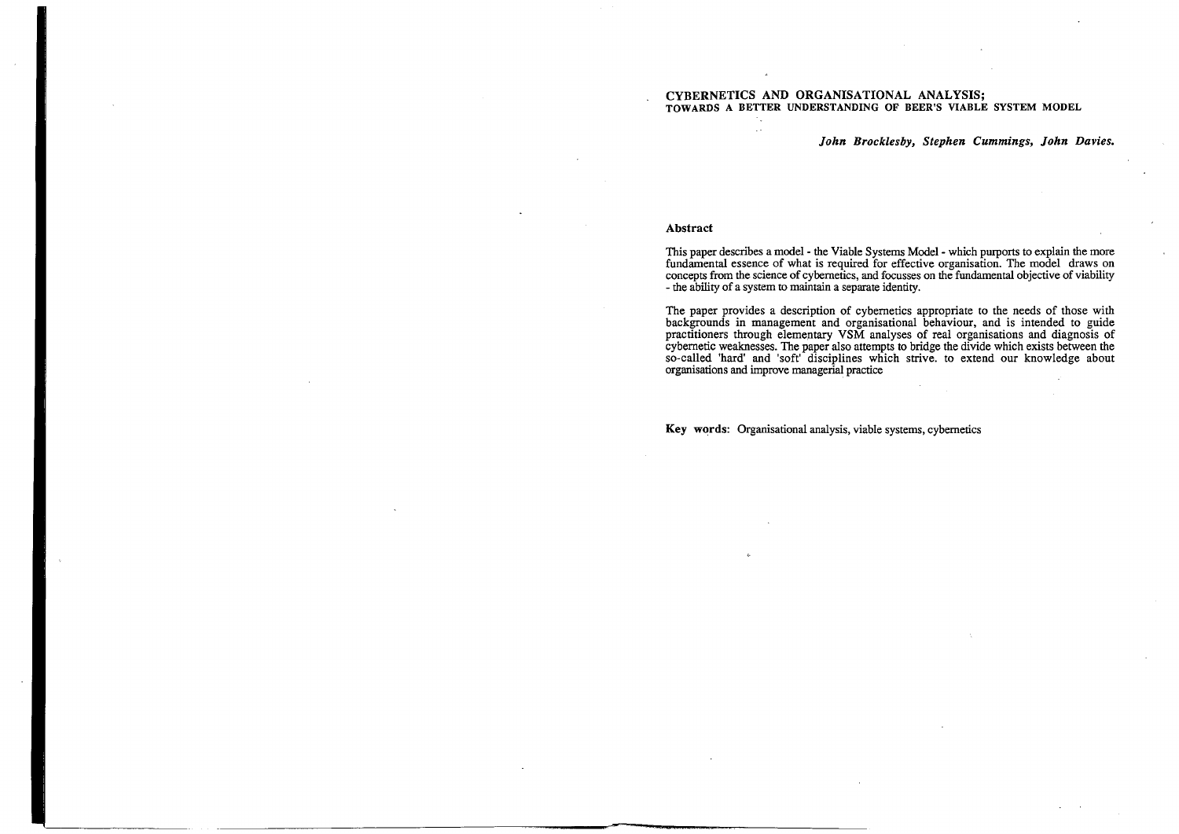#### CYBERNETICS AND ORGANISATIONAL ANALYSIS; TOWARDS A BETTER UNDERSTANDING OF BEER'S VIABLE SYSTEM MODEL

*John Brocklesby, Stephen Cummings, John Davies.* 

#### **Abstract**

This paper describes a model - the Viable Systems Model - which purports to explain the more fundamental essence of what is required for effective organisation. The model draws on concepts from the science of cybernetics, and focusses on the fundamental objective of viability - the ability of a system to maintain a separate identity.

The paper provides a description of cybernetics appropriate to the needs of those with backgrounds in management and organisational behaviour, and is intended to guide practitioners through elementary VSM analyses of real organisations and diagnosis of cybernetic weaknesses. The paper also attempts to bridge the divide which exists between the so-called 'hard' and 'soft' disciplines which strive. to extend our knowledge about organisations and improve managerial practice

**Key words:** Organisational analysis, viable systems, cybernetics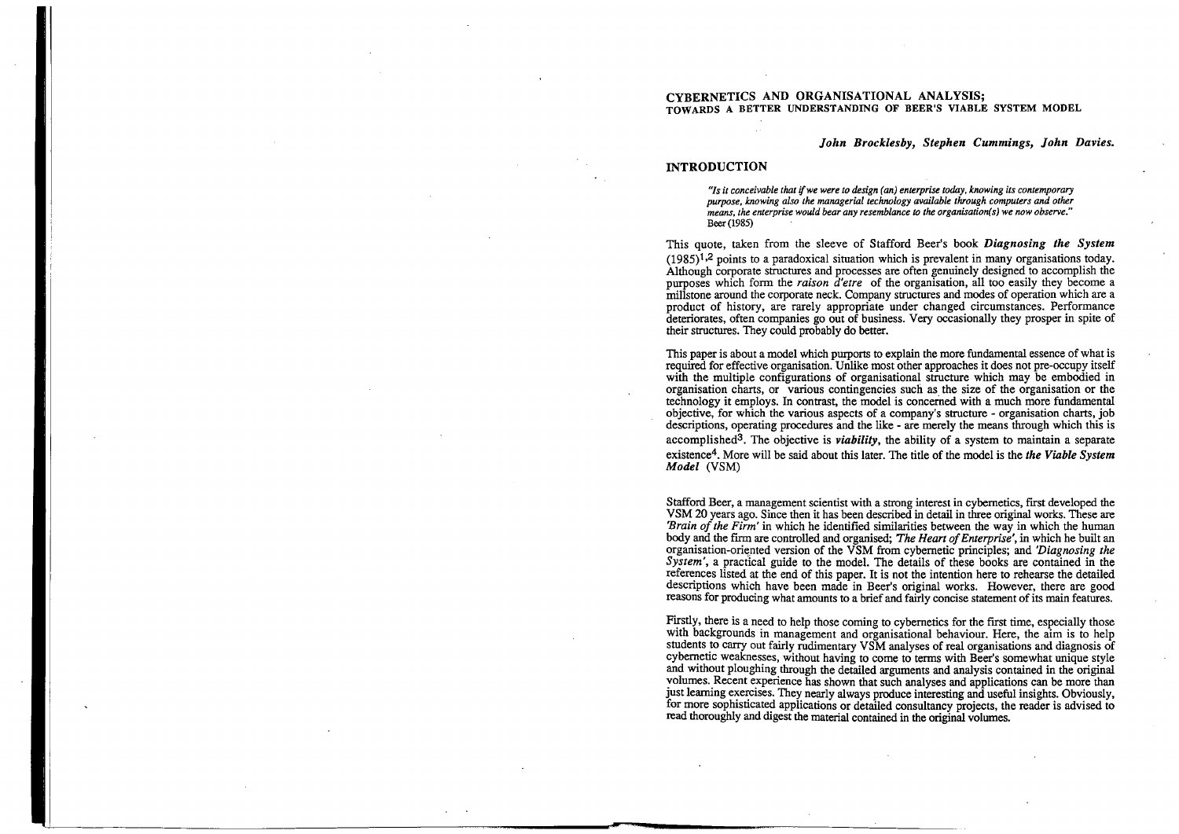#### CYBERNETICS AND ORGANISATIONAL ANALYSIS; TOWARDS A BETTER UNDERSTANDING OF BEER'S VIABLE SYSTEM MODEL

*"Is it conceivable that ifwe were to design (an) enterprise today, knowing its contemporary purpose, knowing also the managerial technology available through computers and other means, the enterprise would bear any resemblance to the organisation(s) we now observe."*  Beer (1985)

*John Brocklesby, Stephen Cummings, John Davies.* 

### **INTRODUCTION**

This quote, taken from the sleeve of Stafford Beer's book *Diagnosing the System*   $(1985)^{1,2}$  points to a paradoxical situation which is prevalent in many organisations today. Although corporate structures and processes are often genuinely designed to accomplish the purposes which form the *raison d'etre* of the organisation, all too easily they become a millstone around the corporate neck. Company structures and modes of operation which are a product of history, are rarely appropriate under changed circumstances. Performance deteriorates, often companies go out of business. Very occasionally they prosper in spite of their structures. They could probably do better.

This paper is about a model which purports to explain the more fundamental essence of what is required for effective organisation. Unlike most other approaches it does not pre-occupy itself with the multiple configurations of organisational structure which may be embodied in organisation charts, or various contingencies such as the size of the organisation or the technology **it** employs. In contrast, the model is concerned with a much more fundamental objective, for which the various aspects of a company's structure - organisation charts, job descriptions, operating procedures and the like - are merely the means through which this is accomplished3. The objective is *viability,* the ability of a system to maintain a separate existence4• More will be said about this later. The title of the model is the *the Viable System Model* (VSM)

Firstly, there is a need to help those coming to cybernetics for the first time, especially those with backgrounds in management and organisational behaviour. Here, the aim is to help students to carry out fairly rudimentary VSM analyses of real organisations and diagnosis of cybernetic weaknesses, without having to come to terms with Beer's somewhat unique style and without ploughing through the detailed arguments and analysis contained in the original volumes. Recent experience has shown that such analyses and applications can be more than just learning exercises. They nearly always produce interesting and useful insights. Obviously, for more sophisticated applications or detailed consultancy projects, the reader is advised to read thoroughly and digest the material contained in the original volumes.

Stafford Beer, a management scientist with a strong interest in cybernetics, first developed the VSM 20 years ago. Since then it has been described in detail in three original works. These are *'Brain of the Firm'* in which he identified similarities between the way in which the human body and the firm are controlled and organised; *The Heart of Enterprise',* in which he built an organisation-oriented version of the VSM from cybernetic principles; and *'Diagnosing the System',* a practical guide to the model. The details of these books are contained in the references listed at the end of this paper. It is not the intention here to rehearse the detailed descriptions which have been made in Beer's original works. However, there are good reasons for producing what amounts to a brief and fairly concise statement of its main features.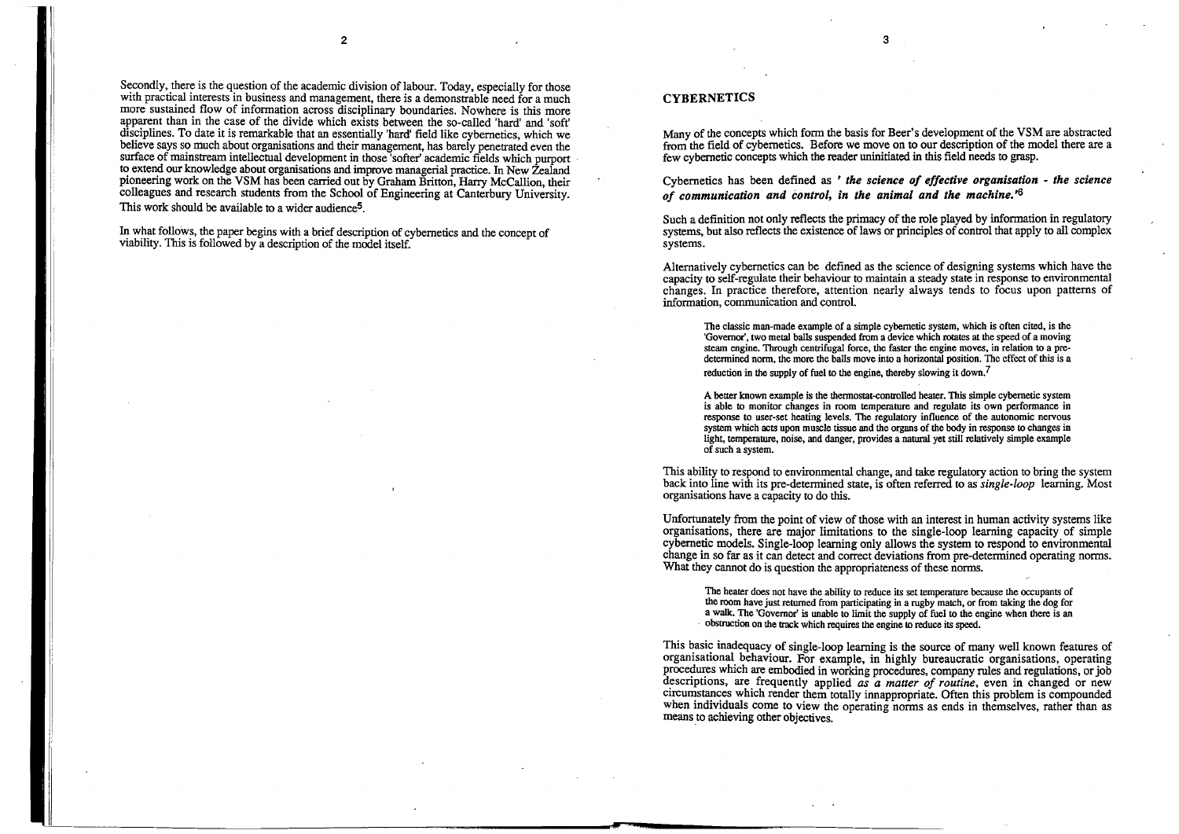Secondly, there is the question of the academic division of labour. Today, especially for those with practical interests in business and management, there is a demonstrable need for a much more sustained flow of information across disciplinary boundaries. Nowhere is this more apparent than in the case of the divide which exists between the so-called 'hard' and 'soft' disciplines. To date it is remarkable that an essentially 'hard' field like cybernetics, which we believe says so much about organisations and their management, has barely penetrated even the surface of mainstream intellectual development in those 'softer' academic fields which purport to extend our knowledge about organisations and improve managerial practice. In New Zealand pioneering work on the VSM has been carried out by Graham Britton, Harry McCallion, their colleagues and research students from the School of Engineering at Canterbury University. This work should be available to a wider audience<sup>5</sup>.

In what follows, the paper begins with a brief description of cybernetics and the concept of viability. This is followed by a description of the model itself.

> The classic man-made example of a simple cybernetic system, which is often cited, is the 'Governor', two metal balls suspended from a device which rotates at the speed of a moving steam engine. Through centrifugal force, the faster the engine moves, in relation to a predetermined norm, the more the balls move into a horizontal position. The effect of this is a reduction in the supply of fuel to the engine, thereby slowing it down.<sup>7</sup>

### **CYBERNETICS**

Many of the concepts which form the basis for Beer's development of the VSM are abstracted from the field of cybernetics. Before we move on to our description of the model there are a few cybernetic concepts which the reader uninitiated in this field needs to grasp.

# Cybernetics has been defined as ' *the science of effective organisation* - *the science*

*of communication and control, in the animal and the machine.* ' 6

Such a definition not only reflects the primacy of the role played by information in regulatory systems, but also reflects the existence of laws or principles of control that apply to all complex systems.

Alternatively cybernetics can be defined as the science of designing systems which have the capacity to self-regulate their behaviour to maintain a steady state in response to environmental changes. In practice therefore, attention nearly always tends to focus upon patterns of information, communication and control.

A better known example is the thermostat-controlled heater. This simple cybernetic system is able to monitor changes in room temperature and regulate its own performance in response to user-set heating levels. The regulatory influence of the autonomic nervous system which acts upon muscle tissue and the organs of the body in response to changes in light, temperawre, noise, and danger, provides a natural yet still relatively simple example of such a system.

This ability to respond to environmental change, and take regulatory action to bring the system back into line with its pre-determined state, is often referred to as *single-loop* learning. Most organisations have a capacity to do this.

Unfortunately from the point of view of those with an interest in human activity systems like organisations, there are major limitations to the single-loop learning capacity of simple cybernetic models. Single-loop learning only allows the system to respond to environmental change in so far as it can detect and correct deviations from pre-determined operating norms. What they cannot do is question the appropriateness of these norms.

The heater does not have the ability to reduce its set temperature because the occupants of the room have just returned from participating in a rugby match, or from taking the dog for a walk. The 'Governor' is unable to limit the supply of fuel to the engine when there is an · obstruction on the **track** which requires the engine to reduce its speed.

This basic inadequacy of single-loop learning is the source of many well known features of organisational behaviour. For example, in highly bureaucratic organisations, operating procedures which are embodied in working procedures, company rules and regulations, or job descriptions, are frequently applied *as a matter of routine*, even in changed or new circumstances which render them totally innappropriate. Often this problem is compounded when individuals come to view the operating norms as ends in themselves, rather than as means to achieving other objectives.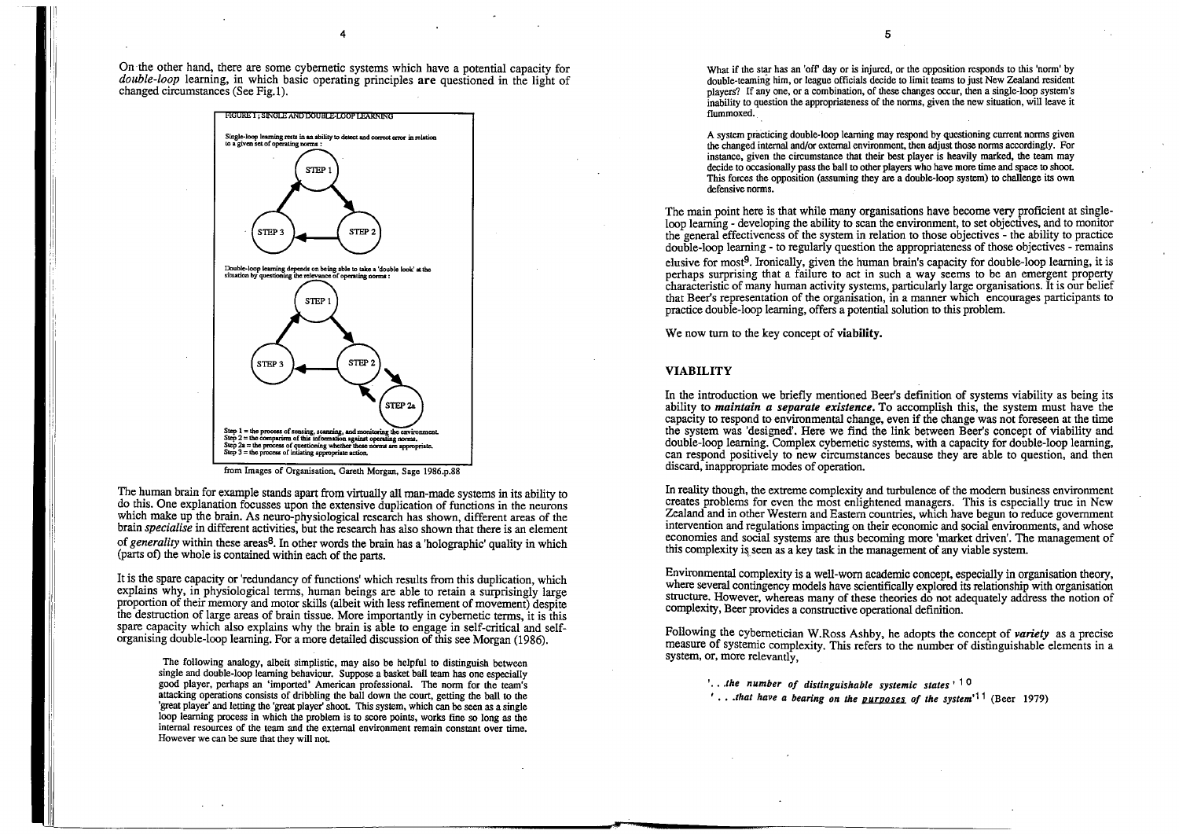4

i :

On the other hand, there are some cybernetic systems which have a potential capacity for *double-loop* learning, in which basic operating principles **are** questioned in the light of changed circumstances (See Fig.I).



from Images of Organisation, Gareth Morgan, Sage 1986.p.88

The human brain for example stands apart from virtually all man-made systems in its ability to do this. One explanation focusses upon the extensive duplication of functions in the neurons which make up the brain. As neuro-physiological research has shown, different areas of the brain *specialise* in different activities, but the research has also shown that there is an element of *generality* within these areas8. In other words the brain has a 'holographic' quality in which (parts of) the whole is contained within each of the parts.

It is the spare capacity or 'redundancy of functions' which results from this duplication, which explains why, in physiological terms, human beings are able to retain a surprisingly large proportion of their memory and motor skills (albeit with less refinement of movement) despite the destruction of large areas of brain tissue. More importantly in cybernetic terms, it is this spare capacity which also explains why the brain is able to engage in self-critical and selforganising double-loop learning. For a more detailed discussion of this see Morgan (1986).

What if the star has an 'off' day or is injured, or the opposition responds to this 'norm' by double-teaming him, or league officials decide to limit teams to just New Zealand resident players? If any one, or a combination, of these changes occur, then a single-loop system's inability to question the appropriateness of the norms, given the new situation, will leave it flummoxed.

The following analogy, albeit simplistic, may also be helpful to distinguish between single and double-loop learning behaviour. Suppose a basket ball team has one especially good player, perhaps an 'imported' American professional. The norm for the team's attacking operations consists of dribbling the ball down the court, getting the ball to the 'great player' and letting the 'great player' shoot. This system, which can be seen as a single loop learning process in which the problem is to score points, works fine so long as the internal resources of the team and the external environment remain constant over time. However we can be sure that they will not

5

In reality though, the extreme complexity and turbulence of the modem business environment creates problems for even the most enlightened managers. This is especially true in New Zealand and in other Western and Eastern countries, which have begun to reduce government intervention and regulations impacting on their economic and social environments, and whose economies and social systems are thus becoming more 'market driven'. The management of this complexity is seen as a key task in the management of any viable system.

' .. *. the number of distinguishable systemic states* ' 1 O '...*that have a bearing on the purposes of the system<sup>11</sup> (Beer 1979)* 

A system practicing double-loop learning may respond by questioning current norms given the changed internal and/or external environment, then adjust those norms accordingly. For instance, given the circumstance that their best player is heavily marked, the team may decide to occasionally pass the ball to other players who have more time and space to shoot This forces the opposition (assuming they are a double-loop system) to challenge its own defensive norms.

The main point here is that while many organisations have become very proficient at singleloop learning - developing the ability to scan the environment, to set objectives, and to monitor the general effectiveness of the system in relation to those objectives - the ability to practice double-loop learning - to regularly question the appropriateness of those objectives - remains elusive for most9. Ironically, given the human brain's capacity for double-loop learning, it is perhaps surprising that a failure to act in such a way seems to be an emergent property characteristic of many human activity systems, particularly large organisations. It is our belief that Beer's representation of the organisation, in a manner which encourages participants to practice double-loop learning, offers a potential solution to this problem.

We now tum to the key concept of **viability.** 

#### **VIABILITY**

In the introduction we briefly mentioned Beer's definition of systems viability as being its ability to *maintain a separate existence.* To accomplish this, the system must have the capacity to respond to environmental change, even if the change was not foreseen at the time the system was 'designed'. Here we find the link between Beer's concept of viability and double-loop learning. Complex cybernetic systems, with a capacity for double-loop learning, can respond positively to new circumstances because they are able to question, and then discard, inappropriate modes of operation.

Environmental complexity is a well-worn academic concept, especially in organisation theory, where several contingency models have scientifically explored its relationship with organisation structure. However, whereas many of these theories do not adequately address the notion of complexity, Beer provides a constructive operational definition.

Following the cybernetician W.Ross Ashby, he adopts the concept of *variety* as a precise measure of systemic complexity. This refers to the number of distinguishable elements in a system, or, more relevantly,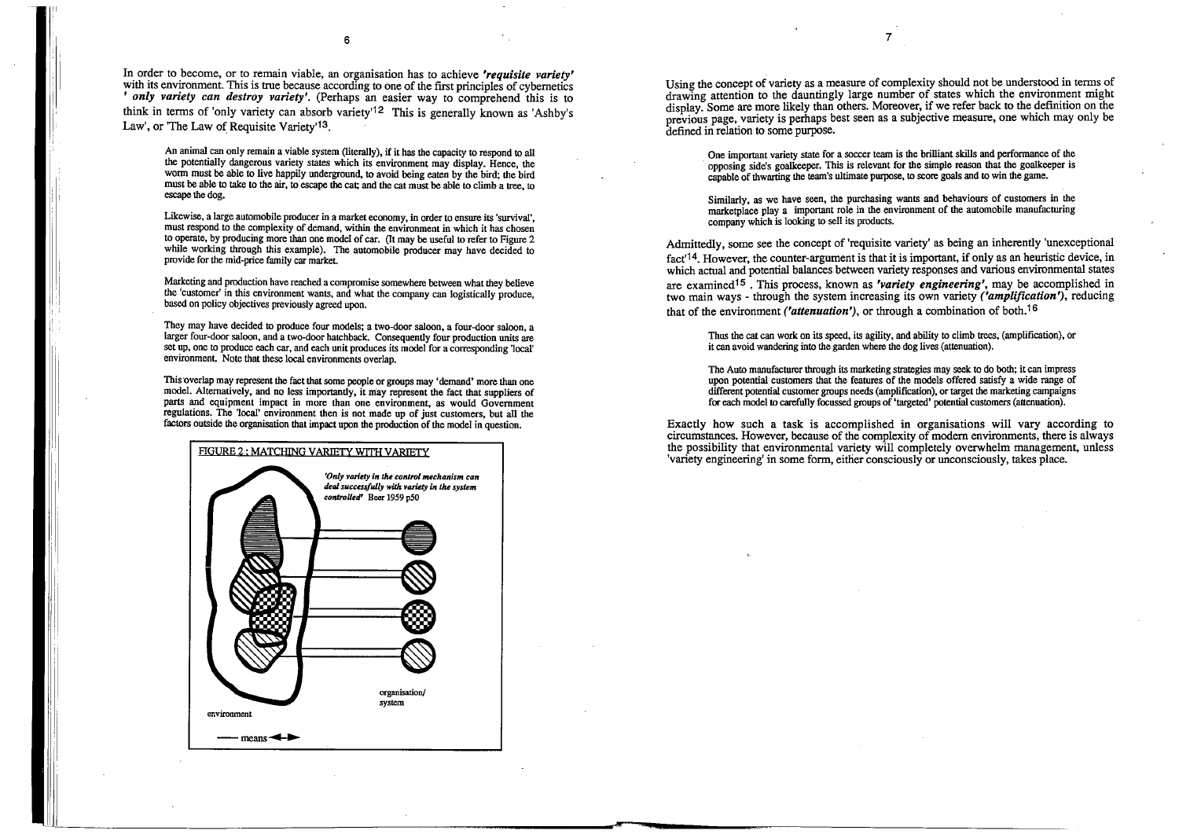In order to become, or to remain viable, an organisation has to achieve *'requisite variety'*  with its environment. This is true because according to one of the first principles of cybernetics ' *only variety can destroy variety'.* (Perhaps an easier way to comprehend this is to think in terms of 'only variety can absorb variety'12 This is generally known as 'Ashby's Law', or 'The Law of Requisite Variety'<sup>13</sup>.

6

 $\overline{1}$ 

An animal can only remain a viable system (literally), if it has the capacity to respond to all the potentially dangerous variety states which its environment may display. Hence, the worm must be able to live happily underground, to avoid being eaten by the bird; the bird must be able to take to the air, to escape the cat; and the cat must be able to climb a tree, to escape the dog.

Likewise, a large automobile producer in a market economy, in order to ensure its 'survival', must respond to the complexity of demand, within the environment in which it has chosen to operate, by producing more than one model of car. (It may **be** useful to refer to Figure 2 while working through this example). The automobile producer may have decided to provide for the mid-price family car market

This overlap may represent the fact that some people or groups may 'demand' more than one model. Alternatively, and no less importantly, it may represent the fact that suppliers of parts and equipment impact in more than one environment, as would Government regulations. The 'local' environment then is not made up of just customers, but all the factors outside the organisation that impact upon the production of the model in question.

Marketing and production have reached a compromise somewhere between what they believe the 'customer' in this environment wants, and what the company can logistically produce, based on policy objectives previously agreed upon.

Using the concept of variety as a measure of complexity should not be understood in terms of drawing attention to the dauntingly large number of states which the environment might display. Some are more likely than others. Moreover, if we refer back to the definition on the previous page, variety is perhaps best seen as a subjective measure, one which may only be defined in relation to some purpose.

They may have decided to produce four models; a two-door saloon, a four-door saloon, a larger four-door saloon, and a two-door hatchback. Consequently four production units are set up, one to produce each car, and each unit produces its model for a corresponding 'local' environment. Note that these local environments overlap.

Admittedly, some see the concept of 'requisite variety' as being an inherently 'unexceptional fact<sup> $14$ </sup>. However, the counter-argument is that it is important, if only as an heuristic device, in which actual and potential balances between variety responses and various environmental states are examined15 . This process, known as *'variety engineering',* may be accomplished in two main ways - through the system increasing its own variety *('amplification'),* reducing that of the environment *('attenuation'*), or through a combination of both.<sup>16</sup>



One important variety state for a soccer team is the brilliant skills and performance of the · opposing side's goalkeeper. This is relevant for the simple reason that the goalkeeper is capable of thwarting the team's ultimate purpose, to score goals and to win the game.

Similarly, as we have seen, the purchasing wants and behaviours of customers in the marketplace play a important role in the environment of the automobile manufacturing company which is looking to sell its products.

Thus the cat can work on its speed, its agility, and ability to climb trees, (amplification), or it can avoid wandering into the garden where the dog lives (attenuation).

The Auto manufacturer through its marketing strategies may seek to do both; it can impress upon potential customers that the features of the models offered satisfy a wide range of different potential customer groups needs (amplification), or target the marketing campaigns for each model to carefully focussed groups of 'targeted' potential customers (attenuation).

Exactly how such a task is accomplished in organisations will vary according to circumstances. However, because of the complexity of modern environments, there is always the possibility that environmental variety will completely overwhelm management, unless 'variety engineering' in some form, either consciously or unconsciously, takes place.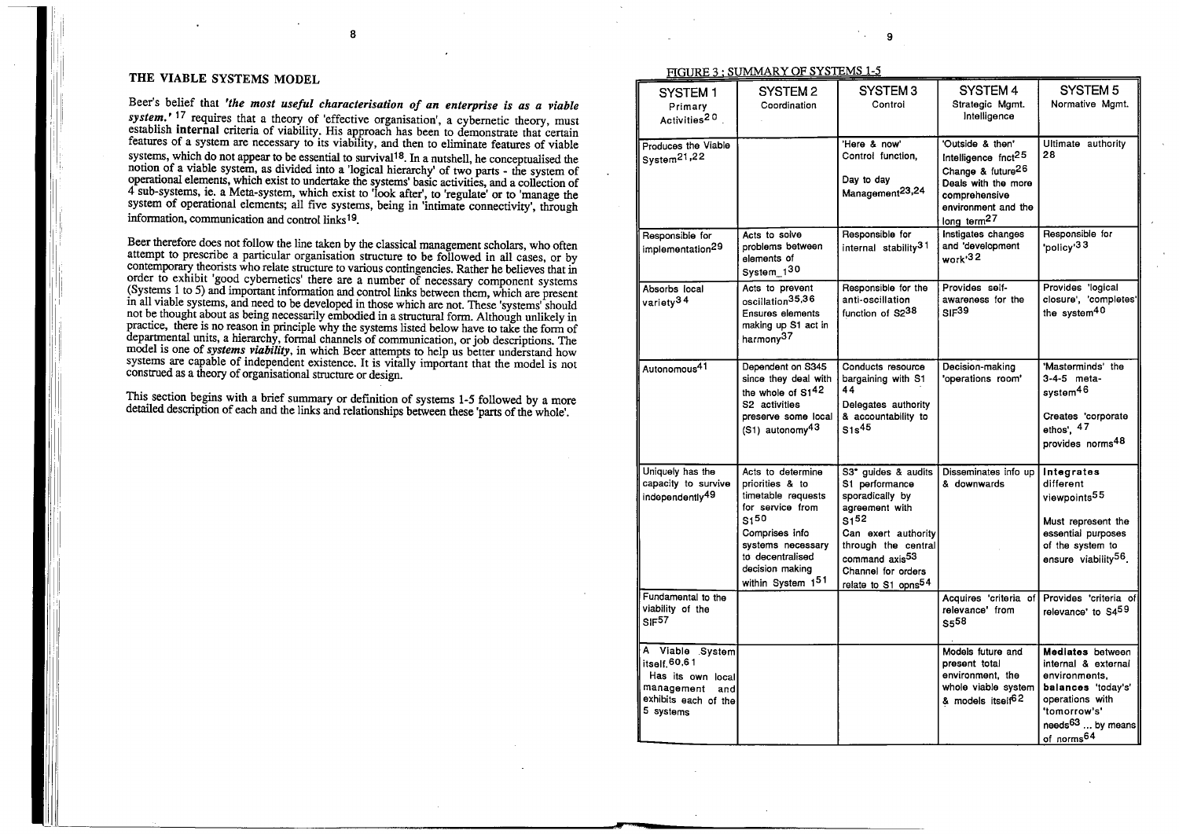ji

i

8

### THE VIABLE SYSTEMS MODEL

Beer's belief that *'the most useful characterisation of an enterprise is as a viable system.'* 17 requires that a theory of 'effective organisation', a cybernetic theory, must establish **internal** criteria of viability. His approach has been to demonstrate that certain features of a system are necessary to its viability, and then to eliminate features of viable systems, which do not appear to be essential to survival<sup>18</sup>. In a nutshell, he conceptualised the notion of a viable system, as divided into a 'logical hierarchy' of two parts - the system of operational elements, which exist to undertake the systems' basic activities, and a collection of 4 sub-systems, ie. a Meta-system, which exist to 'look after', to 'regulate' or to 'manage the system of operational elements; all five systems, being in 'intimate connectivity', through information, communication and control links 19.

Beer therefore does not follow the line taken by the classical management scholars, who often attempt to prescribe a particular organisation structure to be followed in all cases, or by contemporary theorists who relate structure to various contingencies. Rather he believes that in order to exhibit 'good cybernetics' there are a number of necessary component systems (Systems 1 to 5) and important information and control links between them, which are present in all viable systems, and need to be developed in those which are not. These 'systems' should not be thought about as being necessarily embodied in a structural form. Although unlikely in practice, there is no reason in principle why the systems listed below have to take the form of departmental units, a hierarchy, formal channels of communication, or job descriptions. The model is one of *systems viability*, in which Beer attempts to help us better understand how systems are capable of independent existence. It is vitally important that the model is not construed as a theory of organisational structure or design.

This section begins with a brief summary or definition of systems 1-5 followed by a more detailed description of each and the links and relationships between these 'parts of the whole'.

| 9 |  |  |
|---|--|--|

| FIGURE 3: SUMMARY OF SYSTEMS 1-5 |  |
|----------------------------------|--|
|                                  |  |

| SYSTEM 1<br>Primary<br>Activities <sup>20</sup>                                                                  | SYSTEM <sub>2</sub><br>Coordination                                                                                                                                                            | SYSTEM <sub>3</sub><br>Control                                                                                                                                                                                                      | SYSTEM 4<br>Strategic Mgmt.<br>Intelligence                                                                                                                                    | SYSTEM 5<br>Normative Mgmt.                                                                                                                                                 |
|------------------------------------------------------------------------------------------------------------------|------------------------------------------------------------------------------------------------------------------------------------------------------------------------------------------------|-------------------------------------------------------------------------------------------------------------------------------------------------------------------------------------------------------------------------------------|--------------------------------------------------------------------------------------------------------------------------------------------------------------------------------|-----------------------------------------------------------------------------------------------------------------------------------------------------------------------------|
| Produces the Viable<br>System <sup>21,22</sup>                                                                   |                                                                                                                                                                                                | 'Here & now'<br>Control function,<br>Day to day<br>Management <sup>23,24</sup>                                                                                                                                                      | 'Outside & then'<br>Intelligence fnct <sup>25</sup><br>Change & future <sup>26</sup><br>Deals with the more<br>comprehensive<br>environment and the<br>long term <sup>27</sup> | Ultimate authority<br>28                                                                                                                                                    |
| Responsible for<br>implementation <sup>29</sup>                                                                  | Acts to solve<br>problems between<br>elements of<br>System_130                                                                                                                                 | Responsible for<br>internal stability <sup>31</sup>                                                                                                                                                                                 | Instigates changes<br>and 'development<br>work'32                                                                                                                              | Responsible for<br>'policy' <sup>33</sup>                                                                                                                                   |
| Absorbs local<br>variety <sup>34</sup>                                                                           | Acts to prevent<br>oscillation <sup>35,36</sup><br><b>Ensures elements</b><br>making up S1 act in<br>harmony <sup>37</sup>                                                                     | Responsible for the<br>anti-oscillation<br>function of S2 <sup>38</sup>                                                                                                                                                             | Provides self-<br>awareness for the<br>SF <sup>39</sup>                                                                                                                        | Provides 'logical<br>closure', 'completes'<br>the system <sup>40</sup>                                                                                                      |
| Autonomous <sup>41</sup>                                                                                         | Dependent on S345<br>since they deal with<br>the whole of S1 <sup>42</sup><br>S2 activities<br>preserve some local<br>$(S1)$ autonomy <sup>43</sup>                                            | Conducts resource<br>bargaining with S1<br>44<br>Delegates authority<br>& accountability to<br>$S1s^{45}$                                                                                                                           | Decision-making<br>'operations room'                                                                                                                                           | 'Masterminds' the<br>3-4-5 meta-<br>system <sup>46</sup><br>Creates 'corporate<br>ethos', 47<br>provides norms <sup>48</sup>                                                |
| Uniquely has the<br>capacity to survive<br>independently <sup>49</sup>                                           | Acts to determine<br>priorities & to<br>timetable requests<br>for service from<br>$S1^{50}$<br>Comprises info<br>systems necessary<br>to decentralised<br>decision making<br>within System 151 | S3* guides & audits<br>S1 performance<br>sporadically by<br>agreement with<br>S1 <sup>52</sup><br>Can exert authority<br>through the central<br>command axis <sup>53</sup><br>Channel for orders<br>relate to S1 opns <sup>54</sup> | Disseminates info up<br>& downwards                                                                                                                                            | Integrates<br>different<br>viewpoints <sup>55</sup><br>Must represent the<br>essential purposes<br>of the system to<br>ensure viability <sup>56</sup> .                     |
| Fundamental to the<br>viability of the<br>SF <sup>57</sup>                                                       |                                                                                                                                                                                                |                                                                                                                                                                                                                                     | Acquires 'criteria of<br>relevance' from<br>S <sub>5</sub> 58                                                                                                                  | Provides 'criteria of<br>relevance' to S4 <sup>59</sup>                                                                                                                     |
| A Viable System<br>itself. 60,61<br>Has its own local<br>management<br>andl<br>exhibits each of the<br>5 systems |                                                                                                                                                                                                |                                                                                                                                                                                                                                     | Models future and<br>present total<br>environment, the<br>whole viable system<br>& models itself <sup>62</sup>                                                                 | Mediates between<br>internal & external<br>environments,<br>balances 'today's'<br>operations with<br>'tomorrow's'<br>needs <sup>63</sup> by means<br>of norms <sup>64</sup> |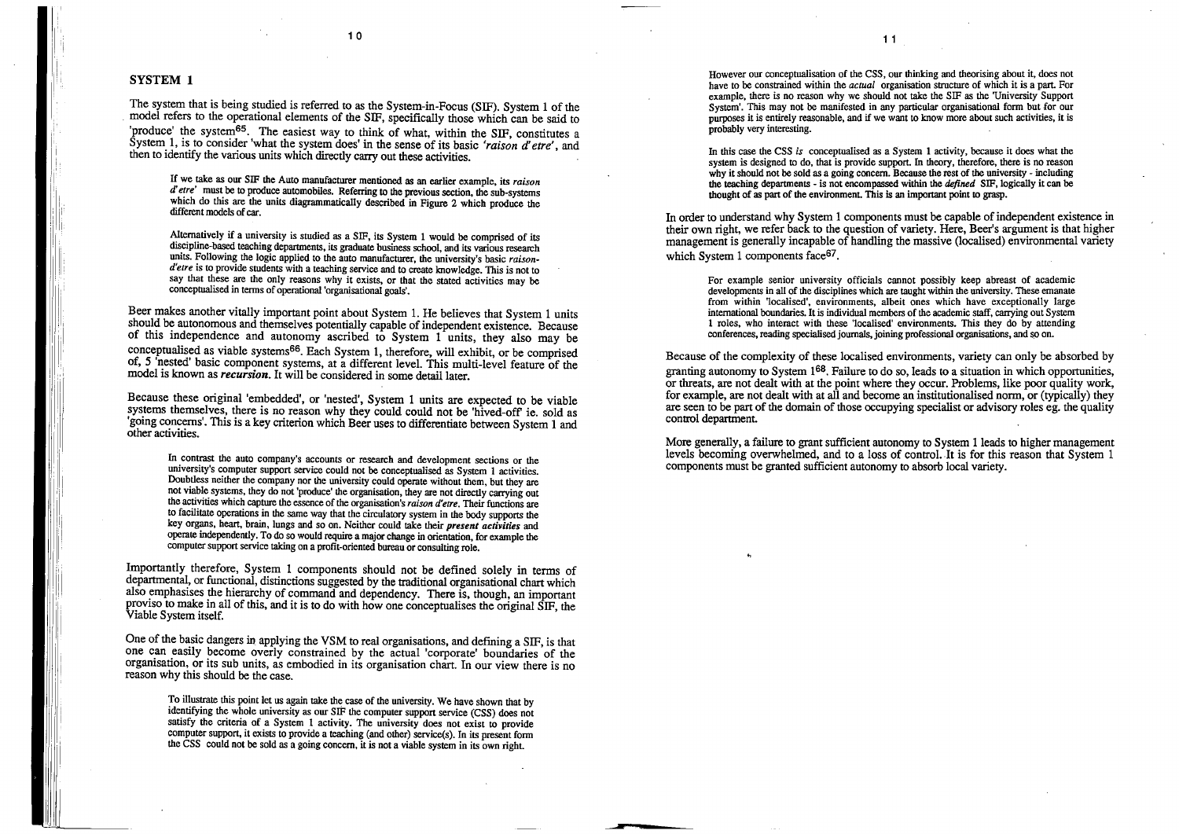II

#### 1 0

#### **SYSTEM 1**

The system that is being studied is referred to as the System-in-Focus (SIF). System 1 of the . model refers to the operational elements of the SIF, specifically those which can be said to 'produce' the system<sup>65</sup>. The easiest way to think of what, within the SIF, constitutes a System 1, is to consider 'what the system does' in the sense of its basic *'raison d'etre'*, and then to identify the various units which directly carry out these activities.

If we take as our SIF the Auto manufacturer mentioned as an earlier example, its *raison d'etre'* must be to produce automobiles. Referring to the previous section, the sub-systems which do this are the units diagrammatically described in Figure 2 which produce the different models of car.

Beer makes another vitally important point about System 1. He believes that System 1 units should be autonomous and themselves potentially capable of independent existence. Because of this independence and autonomy ascribed to System 1 units, they also may be conceptualised as viable systems66. Each System 1, therefore, will exhibit, or be comprised of, *5* 'nested' basic component systems, at a different level. This multi-level feature of the model is known as *recursion*. It will be considered in some detail later.

Alternatively if a university is studied as a SIF, its System I would be comprised of its discipline-based teaching departments, its graduate business school, and its various research units. Following the logic applied to the auto manufacturer, the university's basic *raison*d'etre is to provide students with a teaching service and to create knowledge. This is not to say that these are the only reasons why it exists, or that the stated activities may be conceptualised in tenns of operational 'organisational goals'.

One of the basic dangers in applying the VSM to real organisations, and defining a SIF, is that one can easily become overly constrained by the actual 'corporate' boundaries of the organisation, or its sub units, as embodied in its organisation chart. In our view there is no reason why this should be the case.

Because these original 'embedded', or 'nested', System 1 units are expected to be viable systems themselves, there is no reason why they could could not be 'hived-off ie. sold as 'going concerns'. This is a key criterion which Beer uses to differentiate between System 1 and other activities.

In contrast the auto company's accounts or research and development sections or the university's computer support service could not be conceptualised as System 1 activities. Doubtless neither the company nor the university could operate without them, but they are not viable systems, they do not 'produce' the organisation, they are not directly carrying out the activities which capture the essence of the organisation's *raison d'etre.* Their functions are to facilitate operations in the same way that the circulatory system in the body supports the key organs, heart, brain, lungs and so on. Neither could take their *present activities* and operate independently. To do so would require a major change in orientation, for example the computer support service taking on a profit-oriented bureau or consulting role.

Importantly therefore, System 1 components should not be defined solely in terms of departmental, or functional, distinctions suggested by the traditional organisational chart which also emphasises the hierarchy of command and dependency. There is, though, an important proviso to make in all of this, and it is to do with how one conceptualises the original SIF, the Viable System itself.

To illustrate this point let us again take the case of the university. We have shown that by identifying the whole university as our SIF the computer support service (CSS) does not satisfy the criteria of a System 1 activity. The university does not exist to provide computer support, it exists to provide a teaching (and other) service(s). In its present fonn the CSS could not be sold as a going concern, it is not a viable system in its own right.

However our conceptualisation of the CSS, our thinking and theorising about it, does not have to be constrained within the *actual* organisation structure of which it is a part. For example, there is no reason why we should not take the SIF as the 'University Support System'. This may not be manifested in any particular organisational form but for our purposes it is entirely reasonable, and if we want to know more about such activities, it is probably very interesting.

In this case the CSS *is* conceptualised as a System 1 activity, because it does what the system is designed to do, that is provide support. In theory, therefore, there is no reason why it should not be sold as a going concern. Because the rest of the university - including. the teaching departments - is not encompassed within the *defined* SIF, logically It can be thought of as part of the environment. This is an important point to grasp.

In order to understand why System 1 components must be capable of independent existence in their own right, we refer back to the question of variety. Here, Beer's argument is that higher management is generally incapable of handling the massive (localised) envrronmental vanety which System 1 components face<sup>67</sup>.

For example senior university officials cannot possibly keep abreast of academic developments in all of the disciplines which are taught within the university. These emanate from within 'localised', environments, albeit ones which have exceptionally large international boundaries. It is individual members of the academic staff, carrying out System 1 roles, who interact with these 'localised' environments. This they do by attending conferences, reading specialised journals, joining professional organisations, and so on.

Because of the complexity of these localised environments, variety can only be absorbed by granting autonomy to System  $1^{68}$ . Failure to do so, leads to a situation in which opportunities, or threats, are not dealt with at the point where they occur. Problems, like poor quality work, for example, are not dealt with at all and become an institutionalised norm, or (typically) they are seen to be part of the domain of those occupying specialist or advisory roles eg. the quality control department.

More generally, a failure to grant sufficient autonomy to System I leads to higher management levels becoming overwhelmed, and to a loss of control. It is for this reason that System 1 components must be granted sufficient autonomy to absorb local variety.

•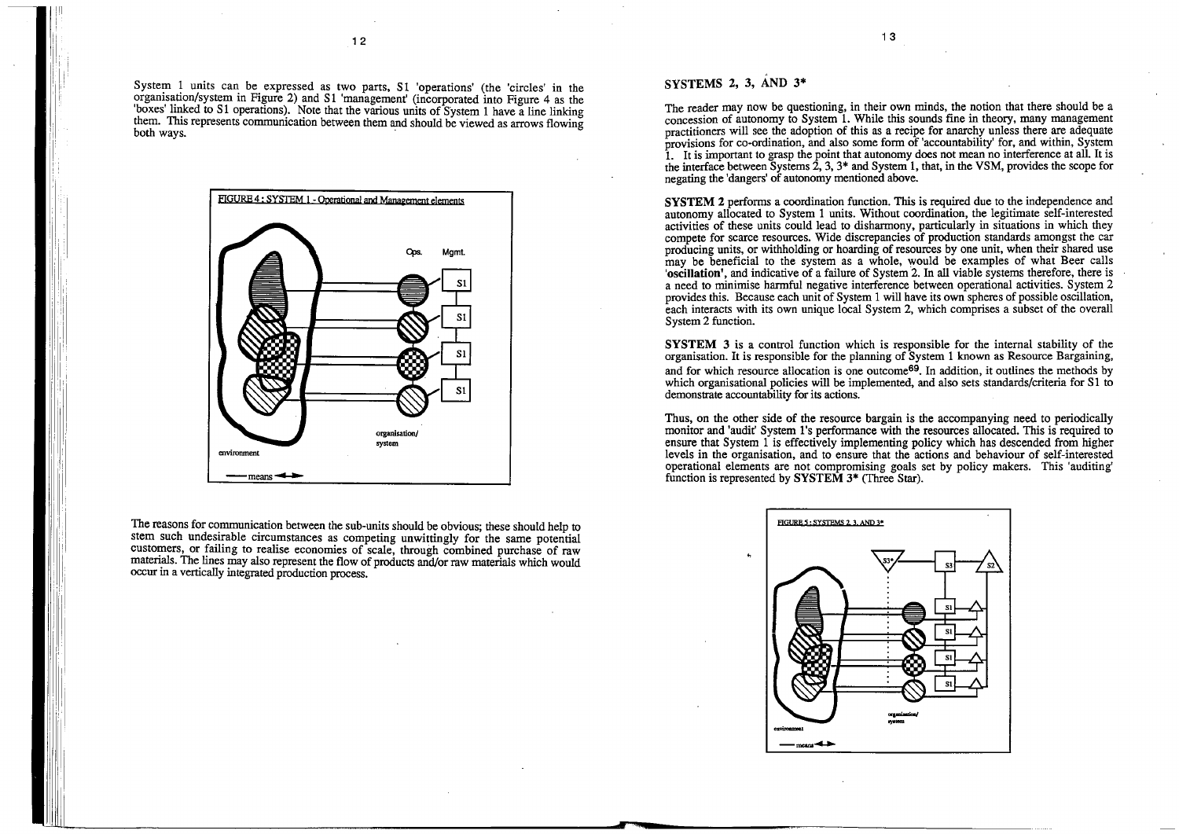System 1 units can be expressed as two parts, S1 'operations' (the 'circles' in the organisation/system in Figure 2) and S1 'management' (incorporated into Figure 4 as the 'boxes' linked to S1 operations). Note that the various units of System 1 have a line linking them. This represents communication between them and should be viewed as arrows flowing both ways.



The reasons for communication between the sub-units should be obvious; these should help to stem such undesirable circumstances as competing unwittingly for the same potential customers, or failing to realise economies of scale, through combined purchase of raw materials. The lines may also represent the flow of products and/or raw materials which would occur in a vertically integrated production process.

#### , **SYSTEMS 2, 3, AND 3\***

The reader may now be questioning, in their own minds, the notion that there should be a concession of autonomy to System 1. While this sounds fine in theory, many management practitioners will see the adoption of this as a recipe for anarchy unless there are adequate provisions for co-ordination, and also some form of 'accountability' for, and within, System <sup>1</sup>. It is important to grasp the point that autonomy does not mean no interference at all. It is the interface between Systems 2, 3, 3\* and System 1, that, in the VSM, provides the scope for negating the 'dangers' of autonomy mentioned above.

**SYSTEM 2** performs a coordination function. This is required due to the independence and autonomy allocated to System 1 units. Without coordination, the legitimate self-interested activities of these units could lead to disharmony, particularly in situations in which they compete for scarce resources. Wide discrepancies of production standards amongst the car producing units, or withholding or hoarding of resources by one unit, when their shared use may be beneficial to the system as a whole, would be examples of what Beer calls **'oscillation',** and indicative of a failure of System 2. In all viable systems therefore, there is a need to minimise harmful negative interference between operational activities. System 2 provides this. Because each unit of System 1 will have its own spheres of possible oscillation, each interacts with its own unique local System 2, which comprises a subset of the overall System 2 function.

**SYSTEM 3** is a control function which is responsible for the internal stability of the organisation. It is responsible for the planning of System 1 known as Resource Bargaining, and for which resource allocation is one outcome<sup>69</sup>. In addition, it outlines the methods by which organisational policies will be implemented, and also sets standards/criteria for *S* 1 to demonstrate accountability for its actions.

Thus, on the other side of the resource bargain is the accompanying need to periodically monitor and 'audit' System 1 's performance with the resources allocated. This is required to ensure that System 1 is effectively implementing policy which has descended from higher levels in the organisation, and to ensure that the actions and behaviour of self-interested operational elements are not compromising goals set by policy makers. This 'auditing' function is represented by **SYSTEM** 3\* (Three Star).

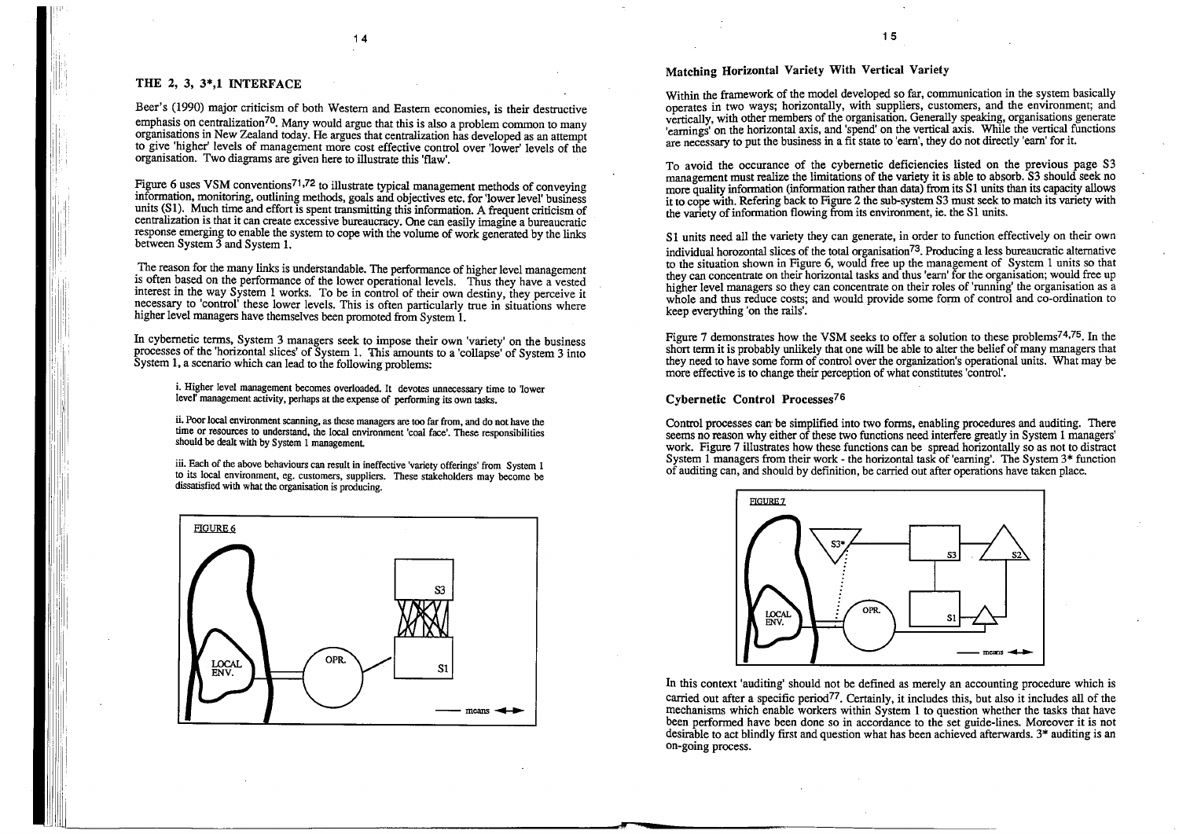I

, I I I

I

ll '!

### **THE 2, 3, 3\*,1 INTERFACE**

Beer's (1990) major criticism of both Western and Eastern economies, is their destructive emphasis on centralization<sup>70</sup>. Many would argue that this is also a problem common to many organisations in New Zealand today. He argues that centralization has developed as an attempt to give 'higher' levels of management more cost effective control over 'lower' levels of the organisation. Two diagrams are given here to illustrate this 'flaw'.

Figure 6 uses VSM conventions<sup>71,72</sup> to illustrate typical management methods of conveying information, monitoring, outlining methods, goals and objectives etc. for 'lower level' business units (S1). Much time and effort is spent transmitting this information. A frequent criticism of centralization is that it can create excessive bureaucracy. One can easily imagine a bureaucratic response emerging to enable the system to cope with the volume of work generated by the links between System 3 and System 1.

iii. Each of the above behaviours can result in ineffective 'variety offerings' from System 1 to its local environment, eg. customers, suppliers. These stakeholders may become be dissatisfied with what the organisation is producing.

The reason for the many links is understandable. The performance of higher level management is often based on the performance of the lower operational levels. Thus they have a vested interest in the way System 1 works. To be in control of their own destiny, they perceive it necessary to 'control' these lower levels. This is often particularly true in situations where higher level managers have themselves been promoted from System 1.

To avoid the occurance of the cybernetic deficiencies listed on the previous page S3 management must realize the limitations of the variety it is able to absorb.  $\S$ 3 should seek no more quality information (information rather than data) from its S1 units than its capacity allows it to cope with. Refering back to Figure 2 the sub-system  $S3$  must seek to match its variety with the variety of information flowing from its environment, ie. the S1 units.

In cybernetic terms, System 3 managers seek to impose their own 'variety' on the business processes of the 'horizontal slices' of System 1. This amounts to a 'collapse' of System 3 into System 1, a scenario which can lead to the following problems:

i. Higher level management becomes overloaded. It devotes unnecessary time to 1ower level' management activity, perhaps at the expense of performing its own tasks.

S1 units need all the variety they can generate, in order to function effectively on their own individual horozontal slices of the total organisation<sup>73</sup>. Producing a less bureaucratic alternative to the situation shown in Figure 6, would free up the management of System 1 units so that they can concentrate on their horizontal tasks and thus 'earn' for the organisation; would free up higher level managers so they can concentrate on their roles of 'running' the organisation as a whole and thus reduce costs; and would provide some form of control and co-ordination to keep everything 'on the rails'.

ii. Poor local environment scanning, as these managers are too far from, and do not have the time or resources to understand, the local environment 'coal face'. These responsibilities should be dealt with by System 1 management

Figure 7 demonstrates how the VSM seeks to offer a solution to these problems<sup>74,75</sup>. In the short term it is probably unlikely that one will be able to alter the belief of many managers that they need to have some form of control over the organization's operational units. What may be more effective is to change their perception of what constitutes 'control'.



### **Matching Horizontal Variety With Vertical Variety**

Within the framework of the model developed so far, communication in the system basically operates in two ways; horizontally, with suppliers, customers, and the environment; and vertically, with other members of the organisation. Generally speaking, organisations generate 'earnings' on the horizontal axis, and 'spend' on the vertical axis. While the vertical functions are necessary to put the business in a fit state to 'earn', they do not directly 'earn' for it.

Control processes can be simplified into two forms, enabling procedures and auditing. There seems no reason why either of these two functions need interfere greatly in System 1 managers' work. Figure 7 illustrates how these functions can be spread horizontally so as not to distract System 1 managers from their work - the horizontal task of 'earning'. The System  $3*$  function of auditing can, and should by definition, be carried out after operations have taken place.

#### **Cybernetic Control Processes76**



In this context 'auditing' should not be defined as merely an accounting procedure which is carried out after a specific period<sup>77</sup>. Certainly, it includes this, but also it includes all of the mechanisms which enable workers within System 1 to question whether the tasks that have been performed have been done so in accordance to the set guide-lines. Moreover it is not desirable to act blindly first and question what has been achieved afterwards.  $3*$  auditing is an on-going process.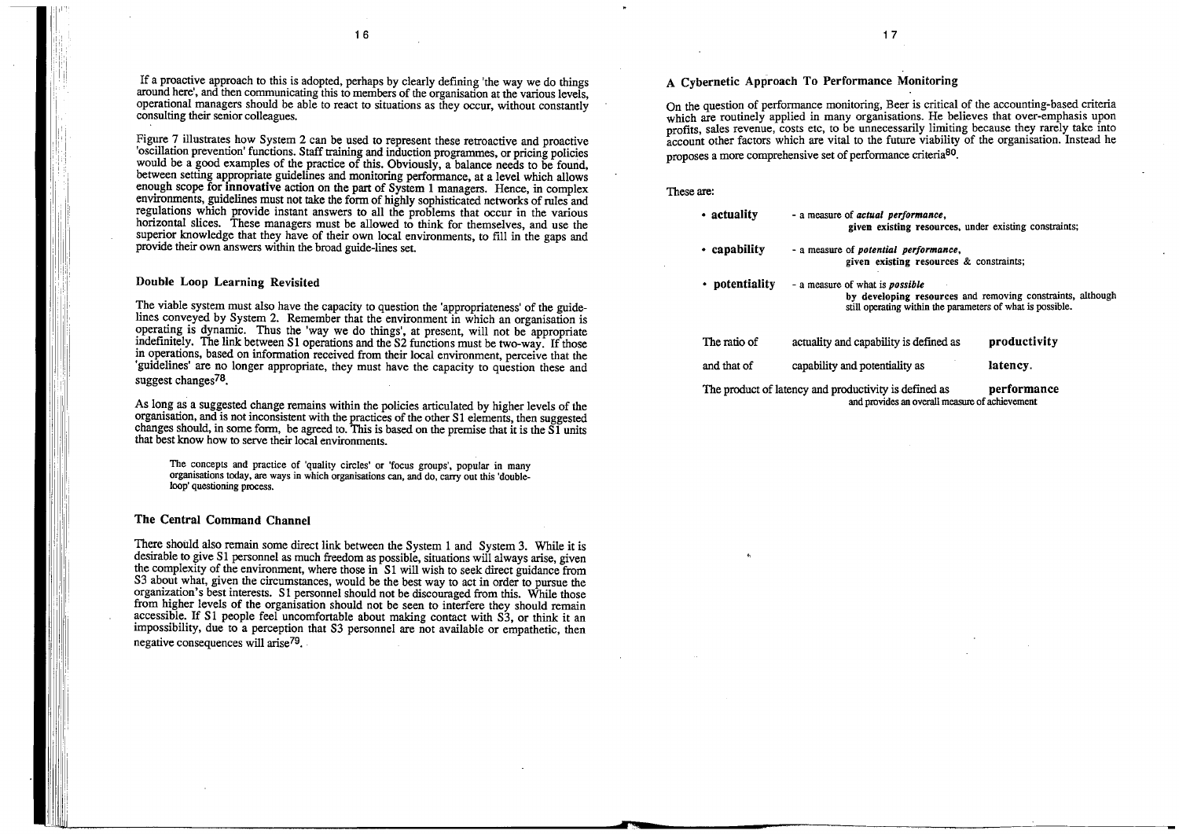r·

1 6

 $performed.$ **isting resources**, under existing constraints;

If a proactive approach to this is adopted, perhaps by clearly defining 'the way we do things around here', and then communicating this to members of the organisation at the various levels, operational managers should be able to react to situations as they occur, without constantly consulting their senior colleagues.

The viable system must also have the capacity to question the 'appropriateness' of the guidelines conveyed by System 2. Remember that the environment in which an organisation is operating is dynamic. Thus the 'way we do things', at present, will not be appropriate indefinitely. The link between S1 operations and the S2 functions must be two-way. If those in operations, based on information received from their local environment, perceive that the 'guidelines' are no longer appropriate, they must have the capacity to question these and suggest changes<sup>78</sup>.

Figure 7 illustrates how System 2 can be used to represent these retroactive and proactive 'oscillation prevention' functions. Staff training and induction programmes, or pricing policies would be a good examples of the practice of this. Obviously, a balance needs to be found, between setting appropriate guidelines and monitoring performance, at a level which allows enough scope for **innovative** action on the part of System 1 managers. Hence, in complex environments, guidelines must not take the form of highly sophisticated networks of rules and regulations which provide instant answers to all the problems that occur in the various horizontal slices. These managers must be allowed to think for themselves, and use the superior knowledge that they have of their own local environments, to fill in the gaps and provide their own answers within the broad guide-lines set.

There should also remain some direct link between the System 1 and System 3. While it is desirable to give S1 personnel as much freedom as possible, situations will always arise, given the complexity of the environment, where those in S1 will wish to seek direct guidance from S3 about what, given the circumstances, would be the best way to act in order to pursue the organization's best interests. Sl personnel should not be discouraged from this. While those from higher levels of the organisation should not be seen to interfere they should remain accessible. If S1 people feel uncomfortable about making contact with S3, or think it an impossibility, due to a perception that S3 personnel are not available or empathetic, then negative consequences will arise<sup>79</sup>.

#### **Double Loop Learning Revisited**

On the question of performance monitoring, Beer is critical of the accounting-based.criteria which are routinely applied in many organisations. He believes that over-emphasis upon profits, sales revenue, costs etc, to be unnecessarily limiting because they rarely take into account other factors which are vital to the future viability of the organisation. Instead he proposes a more comprehensive set of performance criteria<sup>80</sup>.

> - a measure of what is *possible*  **by developing resources** and removing constraints, although ting within the parameters of what is possible.

ity is defined as

As long as a suggested change remains within the policies articulated by higher levels of the organisation, and is not inconsistent with the practices of the other S 1 elements, then suggested changes should, in some form, be agreed to. This is based on the premise that it is the  $\tilde{S}1$  units that best know how to serve their local environments.

The product of latency and productivity is defined as **performance** and provides an overall measure of achievement

The concepts and practice of 'quality circles' or 'focus groups', popular in many organisations today, are ways in which organisations can, and do, carry out this 'doubleloop' questioning process.

#### **The Central Command Channel**

•

1 7

#### These are:

| • actuality    | - a measure of <i>actual</i><br>given exi           |  |
|----------------|-----------------------------------------------------|--|
| • capability   | - a measure of <i>potenti</i><br>given exi          |  |
| • potentiality | - a measure of what is<br>by develo<br>still operat |  |
| The ratio of   | actuality and capabil                               |  |
| and that of    | capability and potent                               |  |

- a measure of *potential performance,*  **given existing resources** & constraints;

**productivity** 

**latency.** 

tiality as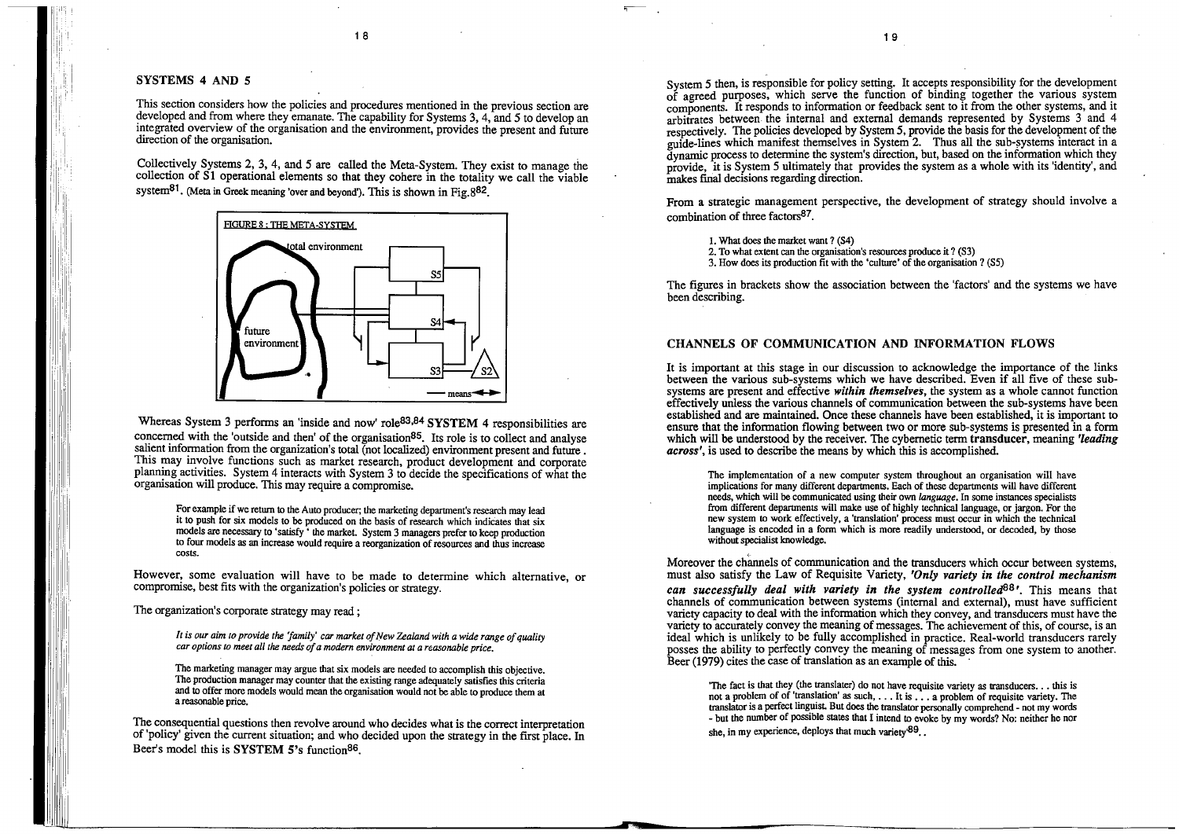ii': !

I ' I ' ''

II 96

This section considers how the policies and procedures mentioned in the previous section are developed and from where they emanate. The capability for Systems 3, 4, and 5 to develop an integrated overview of the organisation and the environment, provides the present and future direction of the organisation.

1 8

### **SYSTEMS 4 AND** *5*

Collectively Systems 2, 3, 4, and 5 are called the Meta-System. They exist to manage the collection of S1 operational elements so that they cohere in the totality we call the viable system<sup>81</sup>. (Meta in Greek meaning 'over and beyond'). This is shown in Fig.  $882$ .



Whereas System 3 performs an 'inside and now' role83,84 **SYSTEM 4** responsibilities are concerned with the 'outside and then' of the organisation<sup>85</sup>. Its role is to collect and analyse salient information from the organization's total (not localized) environment present and future. This may involve functions such as market research, product development and corporate planning activities. System 4 interacts with System 3 to decide the specifications of what the organisation will produce. This may require a compromise.

The consequential questions then revolve around who decides what is the correct interpretation of 'policy' given the current situation; and who decided upon the strategy in the first place. In Beer's model this is **SYSTEM 5's** function<sup>86</sup>.

System 5 then, is responsible for policy setting. It accepts responsibility for the development of agreed purposes, which serve the function of binding together the various system components. It responds to information or feedback sent to it from the other systems, and it arbitrates between the internal and external demands represented by Systems 3 and 4 respectively. The policies developed by System 5, provide the basis for the development of the guide-lines which manifest themselves in System 2. Thus all the sub-systems interact in a  $\frac{d}{dt}$  dynamic process to determine the system's direction, but, based on the information which they provide, it is System 5 ultimately that provides the system as a whole with its 'identity', and makes final decisions regarding direction.

For example if we return to the Auto producer; the marketing department's research may lead it to push for six models to be produced on the basis of research which indicates that six models are necessary to 'satisfy ' the market. System 3 managers prefer to keep production to four models as an increase would require a reorganization of resources and thus increase costs.

However, some evaluation will have to be made to determine which alternative, or compromise, best fits with the organization's policies or strategy.

The organization's corporate strategy may read ;

*It is our aim to provide the 'family' car market of !few 'Zealand with a wide range of quality car options to meet all the needs of a modern environment at a reasonable price.* 

The marketing manager may argue that six models are needed to accomplish this objective. The production manager may counter that the existing range adequately satisfies this criteria and to offer more models would mean the organisation would not be able to produce them at a reasonable price.

The implementation of a new computer system throughout an organisation will have implications for many different departments. Each of these departments will have different needs, which will be communicated using their own *language.* In some instances specialists from different departments will make use of highly technical language, or jargon. For the new system to work effectively, a 'translation' process must occur in which the technical language is encoded in a form which is more readily understood, or decoded, by those without specialist knowledge.

,--

Moreover the channels of communication and the transducers which occur between systems, must also satisfy the Law of Requisite Variety, *'Only variety in the control mechanism can successfully deal with variety in the system controlled*<sup>88</sup>'. This means that channels of communication between systems (internal and external), must have sufficient variety capacity to deal with the information which they convey, and transducers must have the variety to accurately convey the meaning of messages. The achievement of this, of course, is an ideal which is unlikely to be fully accomplished in practice. Real-world transducers rarely posses the ability to perfectly convey the meaning of messages from one system to another. Beer (1979) cites the case of translation as an example of this.

'The fact is that they (the translater) do not have requisite variety as transducers ... this is not a problem of of 'translation' as such, ... It is ... a problem of requisite variety. The translator is a perfect linguist. But does the translator personally comprehend - not my words - but the number of possible states that I intend to evoke by my words? No: neither he nor she, in my experience, deploys that much variety $^{89}$ .

From a strategic management perspective, the development of strategy should involve a combination of three factors87\_

I. What does the market want? (S4)

2. To what extent can the organisation's resources produce it? (S3)

3. How does its production fit with the 'culture' of the organisation? (S5)

The figures in brackets show the association between the 'factors' and the systems we have been describing.

### **CHANNELS OF COMMUNICATION AND INFORMATION FLOWS**

It is important at this stage in our discussion to acknowledge the importance of the links between the various sub-systems which we have described. Even if all five of these subsystems are present and effective *within themselves,* the system as a whole cannot function effectively unless the various channels of communication between the sub-systems have been established and are maintained. Once these channels have been established, it is important to ensure that the information flowing between two or more sub-systems is presented in a form which will be understood by the receiver. The cybernetic term transducer, meaning *'leading across',* is used to describe the means by which this is accomplished.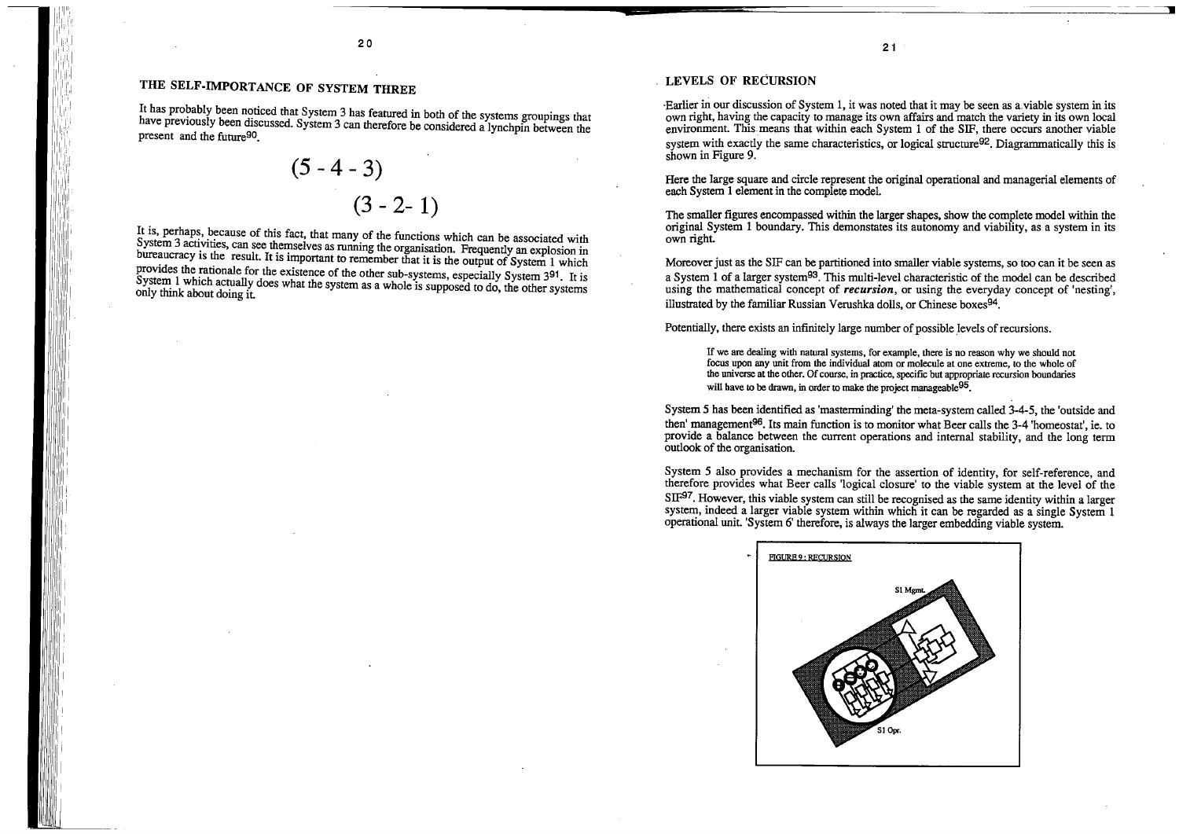# **THE SELF-IMPORTANCE OF SYSTEM THREE**

It has probably been noticed that System 3 has featured in both of the systems groupings that have previously been discussed. System 3 can therefore be considered a lynchpin between the present and the future90.

$$
(5-4-3)
$$
  
 $(3-2-1)$ 

It is, perhaps, because of this fact, that many of the functions which can be associated with System 3 activities, can see themselves as running the organisation. Frequently an explosion in bureaucracy is the result. It is important to remember that it is the output of System 1 which provides the rationale for the existence of the other sub-systems, especially System 391. It is System 1 which actually does what the system as a whole is supposed to do, the other systems only think about doing it. •Earlier in our discussion of System 1, it was noted that it may be seen as a.viable system in its own right, having the capacity to manage its own affairs and match the variety in its own !ocal environment. This. means that within each System 1 of the SIF, there occurs another viable system with exactly the same characteristics, or logical structure<sup>92</sup>. Diagrammatically this is shown in Figure 9.

21

#### **LEVELS OF RECURSION**

If we are dealing with natural systems, for example, there is no reason why we should not focus upon any unit from the individual atom or molecule at one extreme, to the whole of the universe at the other. Of course, in practice, specific but appropriate recursion boundaries will have to be drawn, in order to make the project manageable <sup>95</sup>.

Here the large square and circle represent the original operational and managerial elements of each System 1 element in the complete model.

System 5 has been identified as 'masterminding' the meta-system called 3-4-5, the 'outside and then' management  $96$ . Its main function is to monitor what Beer calls the 3-4 'homeostat', ie. to provide a balance between the current operations and internal stability, and the long term outlook of the organisation.

The smaller figures encompassed within the larger shapes, show the complete model within the original System 1 boundary. This demonstates its autonomy and viability, as a system in its own right.

Moreover just as the SIF can be partitioned into smaller viable systems, so too can it be seen as a System 1 of a larger system93. This multi-level characteristic of the model can be described using the mathematical concept of *recursion,* or using the everyday concept of 'nesting', illustrated by the familiar Russian Verushka dolls, or Chinese boxes94.

Potentially, there exists an infinitely large number of possible levels of recursions.

System *5* also provides a mechanism for the assertion of identity, for self-reference, and therefore provides what Beer calls 'logical closure' to the viable system at the level of the SIF<sup>97</sup>. However, this viable system can still be recognised as the same identity within a larger system, indeed a larger viable system within which it can be regarded as a single System 1 operational unit. 'System 6' therefore, is always the larger embedding viable system.

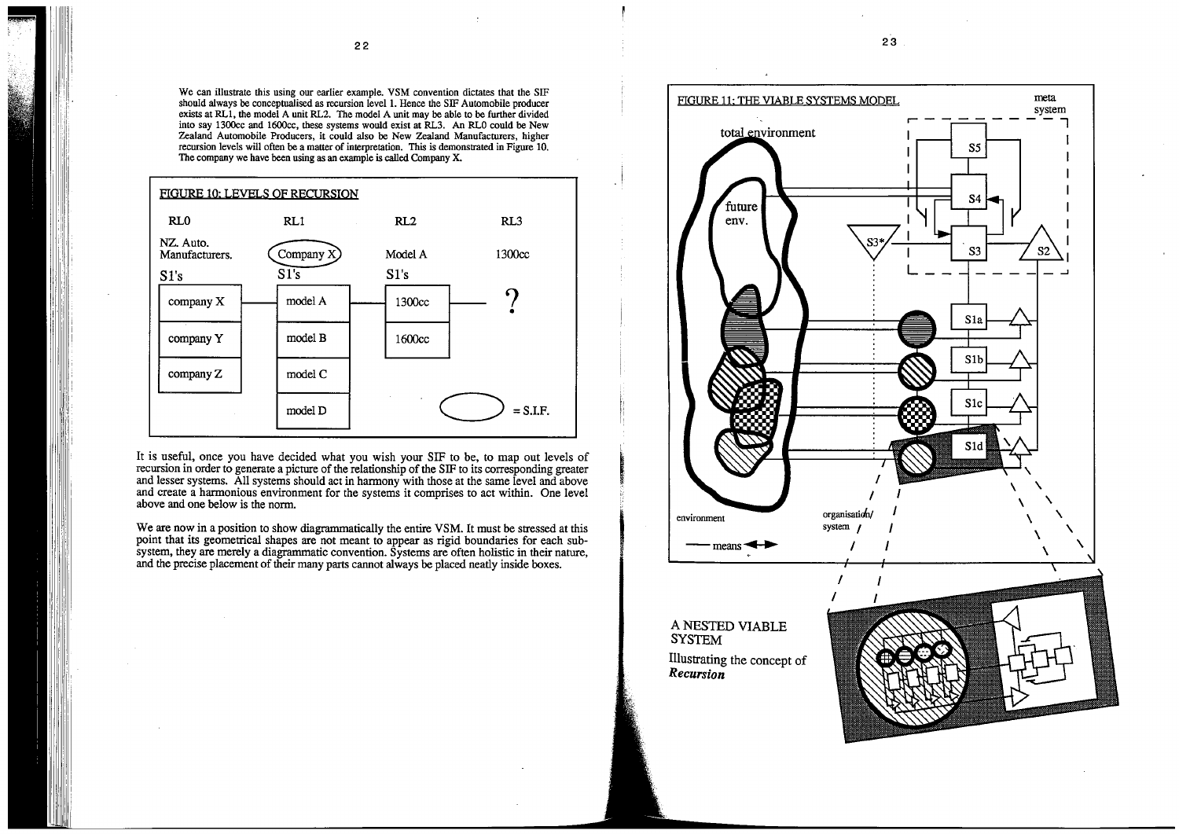We can illustrate this using our earlier example. VSM convention dictates that the SIF should always be conceptualised as recursion level 1. Hence the SIF Automobile producer exists at RLl, the model A unit RL2. The model A unit may be able to be further divided into say 1300cc and 1600cc, these systems would exist at RL3. An RLO could be New Zealand Automobile Producers, it could also be New Zealand Manufacturers, higher recursion levels will often be a matter of interpretation. This is demonstrated in Figure 10. The company we have been using as an example is called Company X.



It is useful, once you have decided what you wish your SIF to be, to map out levels of recursion in order to generate a picture of the relationship of the SIF to its corresponding greater and lesser systems. All systems should act in harmony with those at the same level and above and create a harmonious environment for the systems it comprises to act within. One level above and one below is the norm.

We are now in a position to show diagrammatically the entire VSM. It must be stressed at this point that its geometrical shapes are not meant to appear as rigid boundaries for each subsystem, they are merely a diagrammatic convention. Systems are often holistic in their nature, and the precise placement of their many parts cannot always be placed neatly inside boxes.

23

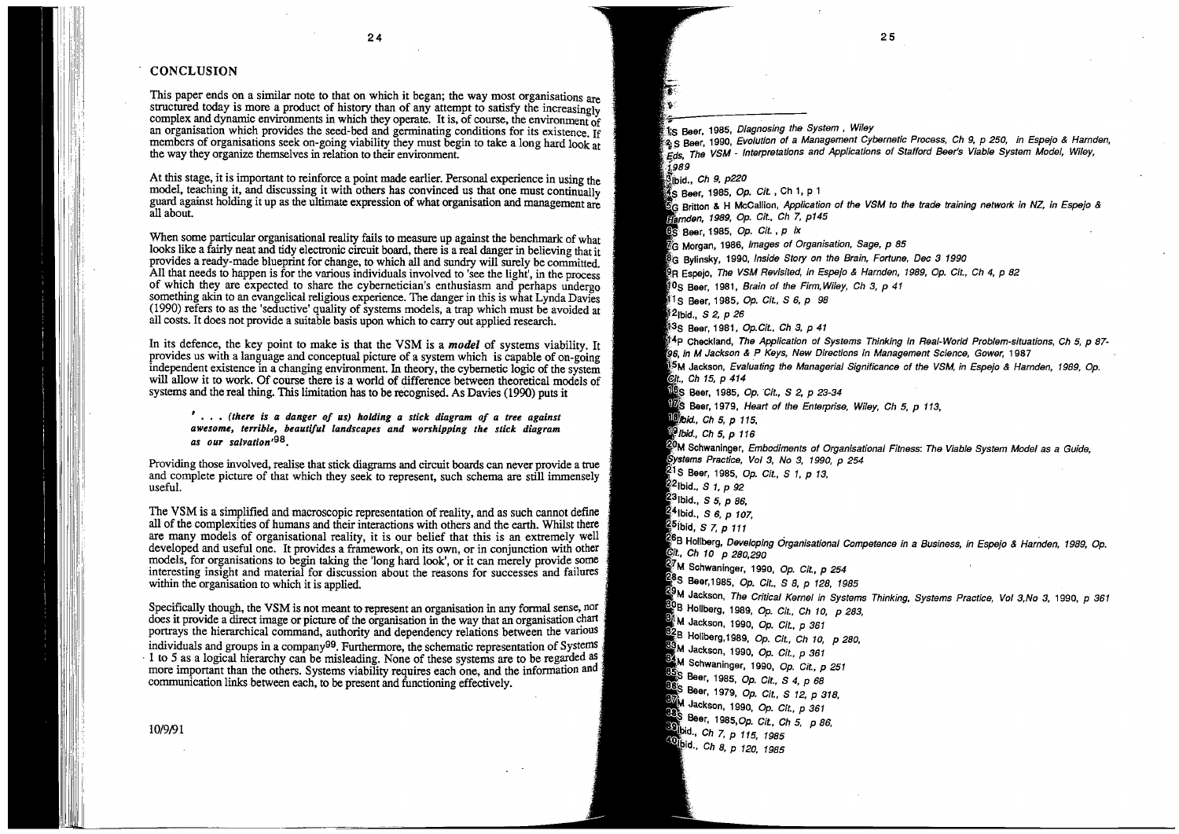#### **CONCLUSION**

This paper ends on a similar note to that on which it began; the way most organisations are structured today is more a product of history than of any attempt to satisfy the increasingly complex and dynamic environments in which they operate. It is, of course, the environment of an organisation which provides the seed-bed and germinating conditions for its existence. If members of organisations seek on-going viability they must begin to take a long hard look at the way they organize themselves in relation to their environment

At this stage, it is important to reinforce a point made earlier. Personal experience in using the model, teaching it, and discussing it with others has convinced us that one must continually guard against holding it up as the ultimate expression of what organisation and management are all about.

When some particular organisational reality fails to measure up against the benchmark of what looks like a fairly neat and tidy electronic circuit board, there is a real danger in believing that it provides a ready-made blueprint for change, to which all and sundry will surely be committed. All that needs to happen is for the various individuals involved to 'see the light', in the process of which they are expected to share the cybernetician's enthusiasm and perhaps undergo something akin to an evangelical religious experience. The danger in this is what Lynda Davies (1990) refers to as the 'seductive' quality of systems models, a trap which must be avoided at all costs. It does not provide a suitable basis upon which to carry out applied research.

In its defence, the key point to make is that the VSM is a *model* of systems viability. It provides us with a language and conceptual picture of a system which is capable of on-going independent existence in a changing environment. In theory, the cybernetic logic of the system will allow it to work. Of course there is a world of difference between theoretical models of systems and the real thing. This limitation has to be recognised. As Davies (1990) puts it

Specifically though, the VSM is not meant to represent an organisation in any formal sense, nor does it provide a direct image or picture of the organisation in the way that an organisation chart portrays the hierarchical command, authority and dependency relations between the vanous individuals and groups in a company<sup>99</sup>. Furthermore, the schematic representation of Systems · 1 to *5* as a logical hierarchy can be misleading. None of these systems are to be regarded as . more important than the others. Systems viability requires each one, and the information and communication links between each, to be present and functioning effectively.

' ..• *(there is a danger of us) holding a stick diagram of a tree against*  awesome, terrible, beautiful landscapes and worshipping the stick diagram *as our salvation•98.* 

Providing those involved, realise that stick diagrams and circuit boards can never provide a true and complete picture of that which they seek to represent, such schema are still immensely useful.

The VSM is a simplified and macroscopic representation of reality, and as such cannot define all of the complexities of humans and their interactions with others and the earth. Whilst there are many models of organisational reality, it is our belief that this is an extremely well developed and useful one. It provides a framework, on its own, or in conjunction with other models, for organisations to begin taking the 'long hard look', or it can merely provide some interesting insight and material for discussion about the reasons for successes and failures within the organisation to which it is applied.

> 8 **Beer,** 1979, Op. Git., S 12, p 318, **M** Jackson, 1990, Op. Cit., p 361 888<br>S Beer, 1985, Op. Cit., Ch 5, p 86,

10/9/91

**89** bid., *Ch 7, p 115, 1985* 40<sub>lbid.</sub>, Ch 8, p 120, 1985

25

t'5 Beer, 1985, Diagnosing the System , Wiley :2, 2, 5 seer, 1990, Evolution of a Management Cybernetic Process, Ch 9, p 250, in Espejo & Harnden, ,Eds, The VSM - Interpretations and Applications of Stafford Beer's Viable System Model, Wiley, 1989  $\bar{3}$ lbid., Ch 9, p220 **6**. Beer, 1985, Op. Cit., Ch 1, p 1 5"G Britton & H McCallion, Application of the VSM to the trade training network in NZ, in Espejo *&*  arnden, 1989, Op. Git., Ch 7, p145  $\overline{\text{BS}}$  Beer, 1985, Op. Cit., p ix *tG* Morgan, 1986, Images of Organisation, Sage, p 85 **BG Bylinsky, 1990, Inside Story on the Brain, Fortune, Dec 3 1990** 9R Espejo, The VSM Revisited, in Espejo & Harnden, 1989, Op. Git., Ch 4, p 82 1'05 Beer, 1981, Brain of the Firm.Wiley, Ch 3, p 41 1<sub>S</sub> Beer, 1985, Op. Cit., S 6, p 98 i2Ibid., S 2, p 26 1;35 Beer, 1981, Op.Git., Ch 3, p 41 f4p Checkland, The Application of Systems Thinking in Real-World Problem-situations, Ch 5, p 87 **iB,** in **M** Jackson & P Keys, New Directions in Management Science, Gower, 1987 **i:51,1** Jackson, Evaluating the Managerial Significance of the VSM, in Espejo & Harnden, 1989, Op. Git, Ch 15, p 414 I **65 Beer,** 1985, Op. 'Git., S 2, p 23-34 175 Beer, 1979, Heart of the Enterprise, Wiley, Ch 5, p 113, **'Ibid.,** Ch 5, p 115,  $\frac{19}{10}$ ibid., Ch 5, p 116 **~M** 5chwaninger, Embodiments of Organisational Fitness: The Viable System Model as a Guide, ~ystems Practice, Vo/ 3, No 3, 1990, p 254 <sup>21</sup>S Beer, 1985, Op. Cit., S 1, p 13, · 2Ibid., S 1, *p* 92 2<sup>3</sup>ibid., *S 5, p 86,* **4** Ibid., S 6, p 107, 2<sup>5</sup>ibid, *S 7, p 111* 6 B Hollberg, Developing Organisational Competence in a Business, in Espejo & Harnden, 1989, Op.  $c$ it., Ch 10 p 280,290 **ilt,1** Schwaninger, 1990, Op. Git, p 254 · 8s Beer, 1985, Op. Git., s 8, p 128, 1985 **9 M** Jackson, The Critical Kernel in Systems Thinking, Systems Practice, Vo/ 3,No 3, 1990, p 361 ~B Hollberg, 1989, Op. Git., Ch 10, p 283, **M** Jackson, 1990, Op. Git., p 361 **.82B** Hollberg,1989, *Op. Cit., Ch 10, p 280,* **M** Jackson, 1990, Op. Git., p 361 **84 M** Schwaninger, 1990, *Op. Cit., p 251* <sup>~</sup>Beer, 1985, Op. Git., s 4, p 68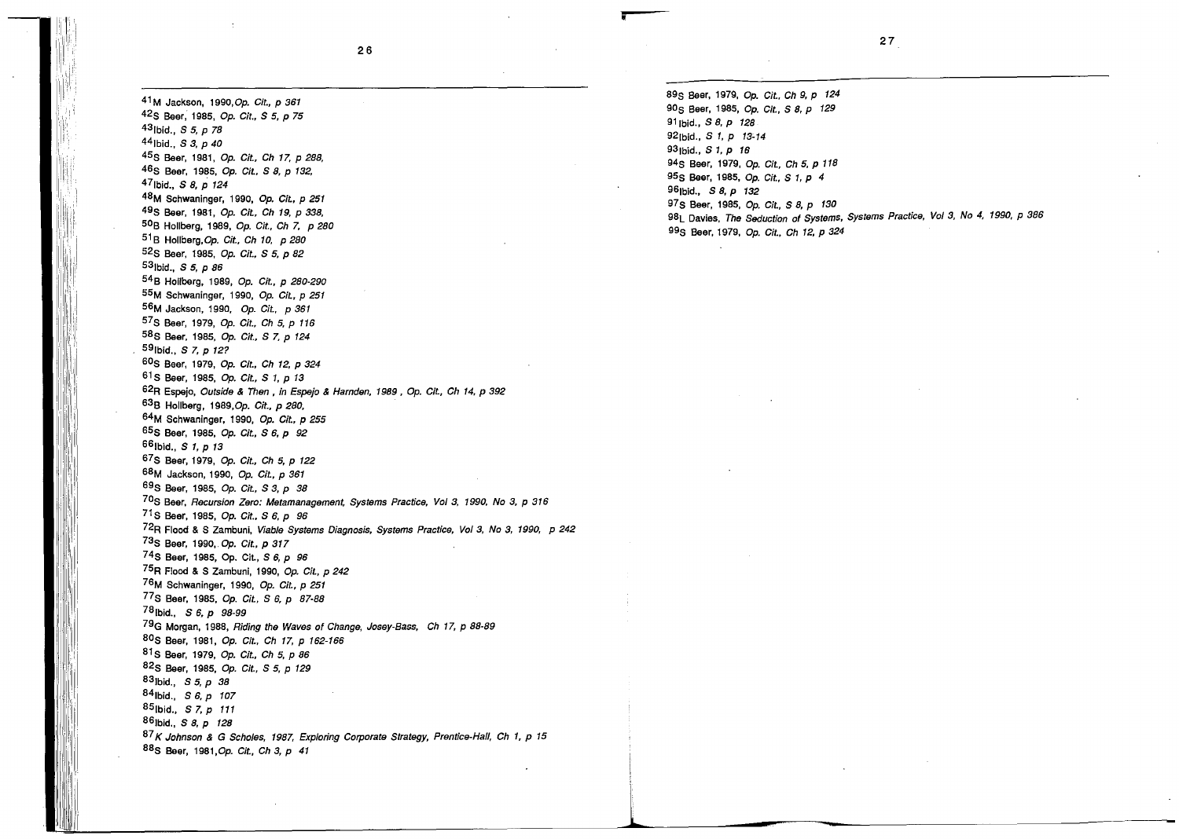41 M Jackson, 1990, Op. Git., p 361

42<sub>S</sub> Beer, 1985, Op. Cit., S 5, p 75 43fbid., *S 5,* p 78 441bid., S 3, *p* 40 45s Beer, 1981, Op. Git., Gh 17, p 288, 46S Beer, 1985, Op. Cit., S 8, p 132, 47Ibid., S 8, p 124 48M Schwaninger, 1990, Op. Git., p 251 49s **Beer,** 1981, Op. Git., Gh 19, p 338, 509 Hollberg, 1989, Op. Git., Gh 7, p 280  $51B$  Hollberg, Op. Cit., Ch 10, p 280 52s Beer, 1985, Op. Git., s 5, p 82 53Ibid., S 5, p 86 54 B Hollberg, 1989, Op. Git., p 280-290 55M Schwaninger, 1990, Op. Git., p 251 56M Jackson, 1990, Op. Git., p 361 57 S Beer, 1979, Op. Git., Gh 5, p 116 58 S **Beer,** 1985, Op. Git., S 7, p 124 591bid., S 7, *p* 12? 60s Beer, 1979, Op. Git., Gh 12, p 324 61 S Beer, 1985, Op. Git., S 1, p 13 62R Espejo, Outside & Then, in Espejo & Harnden, 1989, Op. Git., Ch 14, p 392 639 Hollberg, 1989,Op. Git., p 280, 64M Schwaninger, 1990, Op. Git., p 255 65 **S Beer,** 1985, Op. Git., S 6, p 92 661bid., S 1, *p* 13 67S Beer, 1979, Op. Cit., Ch 5, p 122 68M Jackson, 1990, Op. Git., p 361 69s Beer, 1985, Op. Git., S 3, p 38 70s Beer, Recursion Zero: Metamanagement, Systems Practice, Vo/ 3, 1990, No 3, p 316 71 S Beer, 1985, Op. Cit., S 6, p 96 72R Flood & S Zambuni, Viable Systems Diagnosis, Systems Practice, Vo/ 3, No 3, 1990, P 242 73s Beer, 1990,. Op. Git., p 317 7 4 S Beer, 1985, Op. Cit., S 6, *p* 96 75R Flood & S Zambuni, 1990, Op. Git., p 242 76M Schwaninger, 1990, Op. Git., p 251 77 S Beer, 1985, Op. Git., S 6, p 87-88 78fbid., S 6, *p* 98-99 79G Morgan, 1988, Riding the Waves of Change, Josey-Bass, Ch 17, p 88-89 80s Beer, 1981, Op. Git., Ch 17, p 162-166 81 S Beer, 1979, Op. Git., Gh 5, p 86 82S Beer, 1985, Op. Cit., S 5, p 129 83Ibid., S 5, *p* 38 841bid., S 6, *p* 107 85fbid., S 7, *p* 111 861bid., S 8, *p* 128 87 K Johnson & G Scholes, 1987, Exploring Corporate Strategy, Prentice-Hall, Ch 1, p 15 88s Beer, 1981,Op. Git., Gh 3, p 41

89s Beer, 1979, Op. Git., Ch 9, p 124 90<sub>S</sub> Beer, 1985, Op. Cit., S 8, p 129 91 Ibid., S 8, p 128 92<sub>[bid.</sub>, *S* 1, *p* 13-14 93Ibid., S 1, p 16 94<sub>S</sub> Beer, 1979, Op. Cit., Ch 5, p 118 95s **Beer,** 1985, Op. Git., s 1, p 4 96fbid., S 8, *p* 132 97s Beer, 1985, Op. Git., S 8, p 130 98L Davies, The Seduction of Systems, Systems Practice, Vo/ 3, No 4, 1990, P 386 99s Beer, 1979, Op. Git., Gh 12, p 324